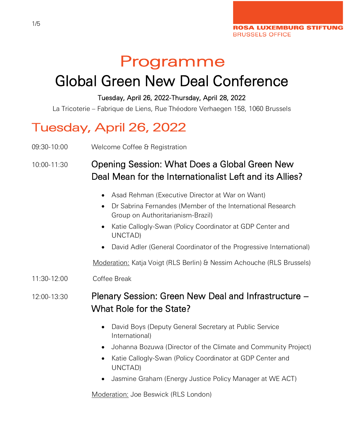# Programme

# Global Green New Deal Conference

#### Tuesday, April 26, 2022-Thursday, April 28, 2022

La Tricoterie – Fabrique de Liens, Rue Théodore Verhaegen 158, 1060 Brussels

## Tuesday, April 26, 2022

09:30-10:00 Welcome Coffee & Registration

## 10:00-11:30 Opening Session: What Does a Global Green New Deal Mean for the Internationalist Left and its Allies?

- Asad Rehman (Executive Director at War on Want)
- Dr Sabrina Fernandes (Member of the International Research Group on Authoritarianism-Brazil)
- Katie Callogly-Swan (Policy Coordinator at GDP Center and UNCTAD)
- David Adler (General Coordinator of the Progressive International)

Moderation: Katja Voigt (RLS Berlin) & Nessim Achouche (RLS Brussels)

#### 11:30-12:00 Coffee Break

### 12:00-13:30 Plenary Session: Green New Deal and Infrastructure – What Role for the State?

- David Boys (Deputy General Secretary at Public Service International)
- Johanna Bozuwa (Director of the Climate and Community Project)
- Katie Callogly-Swan (Policy Coordinator at GDP Center and UNCTAD)
- Jasmine Graham (Energy Justice Policy Manager at WE ACT)

Moderation: Joe Beswick (RLS London)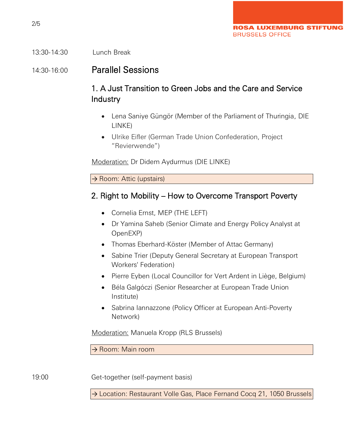#### 13:30-14:30 Lunch Break

#### 14:30-16:00 Parallel Sessions

#### 1. A Just Transition to Green Jobs and the Care and Service Industry

- Lena Saniye Güngör (Member of the Parliament of Thuringia, DIE LINKE)
- Ulrike Eifler (German Trade Union Confederation, Project "Revierwende")

Moderation: Dr Didem Aydurmus (DIE LINKE)

→ Room: Attic (upstairs)

#### 2. Right to Mobility – How to Overcome Transport Poverty

- Cornelia Ernst, MEP (THE LEFT)
- Dr Yamina Saheb (Senior Climate and Energy Policy Analyst at OpenEXP)
- Thomas Eberhard-Köster (Member of Attac Germany)
- Sabine Trier (Deputy General Secretary at European Transport Workers' Federation)
- Pierre Eyben (Local Councillor for Vert Ardent in Liège, Belgium)
- Béla Galgóczi (Senior Researcher at European Trade Union Institute)
- Sabrina Iannazzone (Policy Officer at European Anti-Poverty Network)

Moderation: Manuela Kropp (RLS Brussels)

→ Room: Main room

19:00 Get-together (self-payment basis)

→ Location: Restaurant Volle Gas, Place Fernand Cocq 21, 1050 Brussels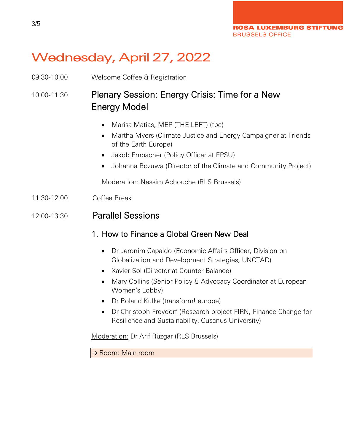**ROSA LUXEMBURG STIFTUNG BRUSSELS OFFICE** 

## Wednesday, April 27, 2022

09:30-10:00 Welcome Coffee & Registration

## 10:00-11:30 Plenary Session: Energy Crisis: Time for a New Energy Model

- Marisa Matias, MEP (THE LEFT) (tbc)
- Martha Myers (Climate Justice and Energy Campaigner at Friends of the Earth Europe)
- Jakob Embacher (Policy Officer at EPSU)
- Johanna Bozuwa (Director of the Climate and Community Project)

Moderation: Nessim Achouche (RLS Brussels)

11:30-12:00 Coffee Break

#### 12:00-13:30 Parallel Sessions

- 1. How to Finance a Global Green New Deal
	- Dr Jeronim Capaldo (Economic Affairs Officer, Division on Globalization and Development Strategies, UNCTAD)
	- Xavier Sol (Director at Counter Balance)
	- Mary Collins (Senior Policy & Advocacy Coordinator at European Women's Lobby)
	- Dr Roland Kulke (transform! europe)
	- Dr Christoph Freydorf (Research project FIRN, Finance Change for Resilience and Sustainability, Cusanus University)

Moderation: Dr Arif Rüzgar (RLS Brussels)

→ Room: Main room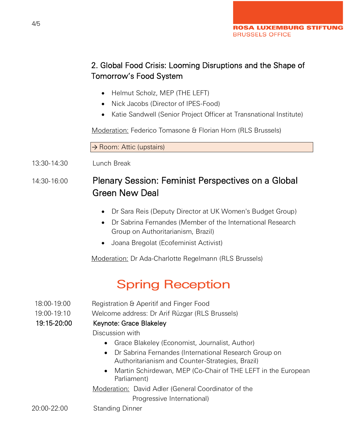### 2. Global Food Crisis: Looming Disruptions and the Shape of Tomorrow's Food System

- Helmut Scholz, MEP (THE LEFT)
- Nick Jacobs (Director of IPES-Food)
- Katie Sandwell (Senior Project Officer at Transnational Institute)

Moderation: Federico Tomasone & Florian Horn (RLS Brussels)

 $\rightarrow$  Room: Attic (upstairs)

13:30-14:30 Lunch Break

## 14:30-16:00 Plenary Session: Feminist Perspectives on a Global Green New Deal

- Dr Sara Reis (Deputy Director at UK Women's Budget Group)
- Dr Sabrina Fernandes (Member of the International Research Group on Authoritarianism, Brazil)
- Joana Bregolat (Ecofeminist Activist)

Moderation: Dr Ada-Charlotte Regelmann (RLS Brussels)

## Spring Reception

18:00-19:00 Registration & Aperitif and Finger Food

19:00-19:10 Welcome address: Dr Arif Rüzgar (RLS Brussels)

19:15-20:00 Keynote: Grace Blakeley

Discussion with

- Grace Blakeley (Economist, Journalist, Author)
- Dr Sabrina Fernandes (International Research Group on Authoritarianism and Counter-Strategies, Brazil)
- Martin Schirdewan, MEP (Co-Chair of THE LEFT in the European Parliament)

Moderation: David Adler (General Coordinator of the

Progressive International)